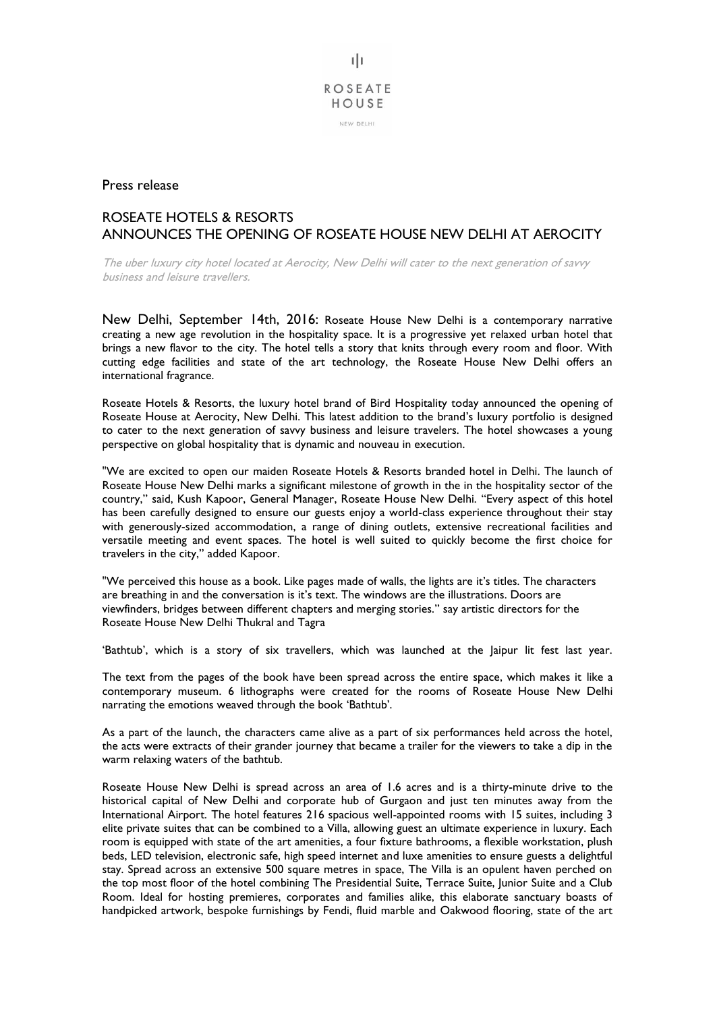

Press release

## ROSEATE HOTELS & RESORTS ANNOUNCES THE OPENING OF ROSEATE HOUSE NEW DELHI AT AEROCITY

The uber luxury city hotel located at Aerocity, New Delhi will cater to the next generation of savvy business and leisure travellers.

New Delhi, September 14th, 2016: Roseate House New Delhi is a contemporary narrative creating a new age revolution in the hospitality space. It is a progressive yet relaxed urban hotel that brings a new flavor to the city. The hotel tells a story that knits through every room and floor. With cutting edge facilities and state of the art technology, the Roseate House New Delhi offers an international fragrance.

Roseate Hotels & Resorts, the luxury hotel brand of Bird Hospitality today announced the opening of Roseate House at Aerocity, New Delhi. This latest addition to the brand's luxury portfolio is designed to cater to the next generation of savvy business and leisure travelers. The hotel showcases a young perspective on global hospitality that is dynamic and nouveau in execution.

"We are excited to open our maiden Roseate Hotels & Resorts branded hotel in Delhi. The launch of Roseate House New Delhi marks a significant milestone of growth in the in the hospitality sector of the country," said, Kush Kapoor, General Manager, Roseate House New Delhi. "Every aspect of this hotel has been carefully designed to ensure our guests enjoy a world-class experience throughout their stay with generously-sized accommodation, a range of dining outlets, extensive recreational facilities and versatile meeting and event spaces. The hotel is well suited to quickly become the first choice for travelers in the city," added Kapoor.

"We perceived this house as a book. Like pages made of walls, the lights are it's titles. The characters are breathing in and the conversation is it's text. The windows are the illustrations. Doors are viewfinders, bridges between different chapters and merging stories." say artistic directors for the Roseate House New Delhi Thukral and Tagra

'Bathtub', which is a story of six travellers, which was launched at the Jaipur lit fest last year.

The text from the pages of the book have been spread across the entire space, which makes it like a contemporary museum. 6 lithographs were created for the rooms of Roseate House New Delhi narrating the emotions weaved through the book 'Bathtub'.

As a part of the launch, the characters came alive as a part of six performances held across the hotel, the acts were extracts of their grander journey that became a trailer for the viewers to take a dip in the warm relaxing waters of the bathtub.

Roseate House New Delhi is spread across an area of 1.6 acres and is a thirty-minute drive to the historical capital of New Delhi and corporate hub of Gurgaon and just ten minutes away from the International Airport. The hotel features 216 spacious well-appointed rooms with 15 suites, including 3 elite private suites that can be combined to a Villa, allowing guest an ultimate experience in luxury. Each room is equipped with state of the art amenities, a four fixture bathrooms, a flexible workstation, plush beds, LED television, electronic safe, high speed internet and luxe amenities to ensure guests a delightful stay. Spread across an extensive 500 square metres in space, The Villa is an opulent haven perched on the top most floor of the hotel combining The Presidential Suite, Terrace Suite, Junior Suite and a Club Room. Ideal for hosting premieres, corporates and families alike, this elaborate sanctuary boasts of handpicked artwork, bespoke furnishings by Fendi, fluid marble and Oakwood flooring, state of the art

τh